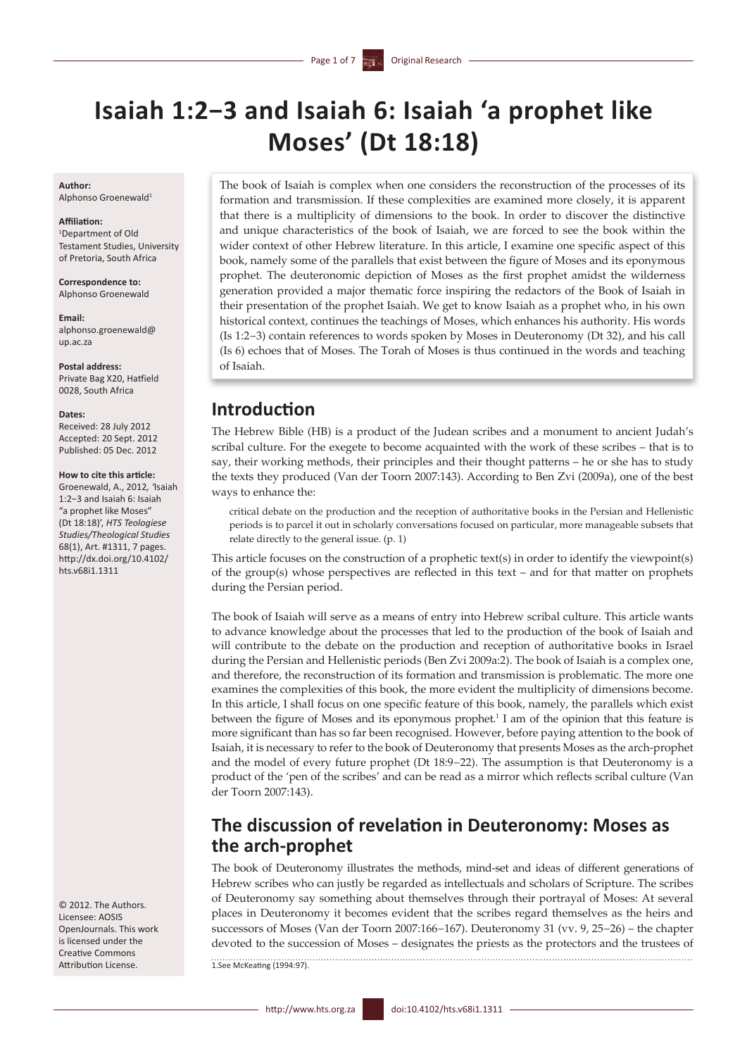# **Isaiah 1:2−3 and Isaiah 6: Isaiah 'a prophet like Moses' (Dt 18:18)**

**Author:** Alphonso Groenewald1

#### **Affiliation:**

1 Department of Old Testament Studies, University of Pretoria, South Africa

**Correspondence to:** Alphonso Groenewald

**Email:** [alphonso.groenewald@](mailto:alphonso.groenewald@up.ac.za) [up.ac.za](mailto:alphonso.groenewald@up.ac.za)

**Postal address:** Private Bag X20, Hatfield 0028, South Africa

#### **Dates:**

Received: 28 July 2012 Accepted: 20 Sept. 2012 Published: 05 Dec. 2012

#### **How to cite this article:**

Groenewald, A., 2012*, '*Isaiah 1:2−3 and Isaiah 6: Isaiah "a prophet like Moses" (Dt 18:18)', *HTS Teologiese Studies/Theological Studies*  68(1), Art. #1311, 7 pages. [http://dx.doi.org/10.4102/](http://dx.doi.org/10.4102/hts.v68i1.1311) [hts.v68i1.1311](http://dx.doi.org/10.4102/hts.v68i1.1311)

© 2012. The Authors. Licensee: AOSIS OpenJournals. This work is licensed under the Creative Commons Attribution License.

The book of Isaiah is complex when one considers the reconstruction of the processes of its formation and transmission. If these complexities are examined more closely, it is apparent that there is a multiplicity of dimensions to the book. In order to discover the distinctive and unique characteristics of the book of Isaiah, we are forced to see the book within the wider context of other Hebrew literature. In this article, I examine one specific aspect of this book, namely some of the parallels that exist between the figure of Moses and its eponymous prophet. The deuteronomic depiction of Moses as the first prophet amidst the wilderness generation provided a major thematic force inspiring the redactors of the Book of Isaiah in their presentation of the prophet Isaiah. We get to know Isaiah as a prophet who, in his own historical context, continues the teachings of Moses, which enhances his authority. His words (Is 1:2−3) contain references to words spoken by Moses in Deuteronomy (Dt 32), and his call (Is 6) echoes that of Moses. The Torah of Moses is thus continued in the words and teaching of Isaiah.

### **Introduction**

The Hebrew Bible (HB) is a product of the Judean scribes and a monument to ancient Judah's scribal culture. For the exegete to become acquainted with the work of these scribes – that is to say, their working methods, their principles and their thought patterns – he or she has to study the texts they produced (Van der Toorn 2007:143). According to Ben Zvi (2009a), one of the best ways to enhance the:

critical debate on the production and the reception of authoritative books in the Persian and Hellenistic periods is to parcel it out in scholarly conversations focused on particular, more manageable subsets that relate directly to the general issue. (p. 1)

This article focuses on the construction of a prophetic text(s) in order to identify the viewpoint(s) of the group(s) whose perspectives are reflected in this text – and for that matter on prophets during the Persian period.

The book of Isaiah will serve as a means of entry into Hebrew scribal culture. This article wants to advance knowledge about the processes that led to the production of the book of Isaiah and will contribute to the debate on the production and reception of authoritative books in Israel during the Persian and Hellenistic periods (Ben Zvi 2009a:2). The book of Isaiah is a complex one, and therefore, the reconstruction of its formation and transmission is problematic. The more one examines the complexities of this book, the more evident the multiplicity of dimensions become. In this article, I shall focus on one specific feature of this book, namely, the parallels which exist between the figure of Moses and its eponymous prophet.<sup>1</sup> I am of the opinion that this feature is more significant than has so far been recognised. However, before paying attention to the book of Isaiah, it is necessary to refer to the book of Deuteronomy that presents Moses as the arch-prophet and the model of every future prophet (Dt 18:9−22). The assumption is that Deuteronomy is a product of the 'pen of the scribes' and can be read as a mirror which reflects scribal culture (Van der Toorn 2007:143).

## **The discussion of revelation in Deuteronomy: Moses as the arch-prophet**

The book of Deuteronomy illustrates the methods, mind-set and ideas of different generations of Hebrew scribes who can justly be regarded as intellectuals and scholars of Scripture. The scribes of Deuteronomy say something about themselves through their portrayal of Moses: At several places in Deuteronomy it becomes evident that the scribes regard themselves as the heirs and successors of Moses (Van der Toorn 2007:166−167). Deuteronomy 31 (vv. 9, 25−26) – the chapter devoted to the succession of Moses – designates the priests as the protectors and the trustees of 1.See McKeating (1994:97).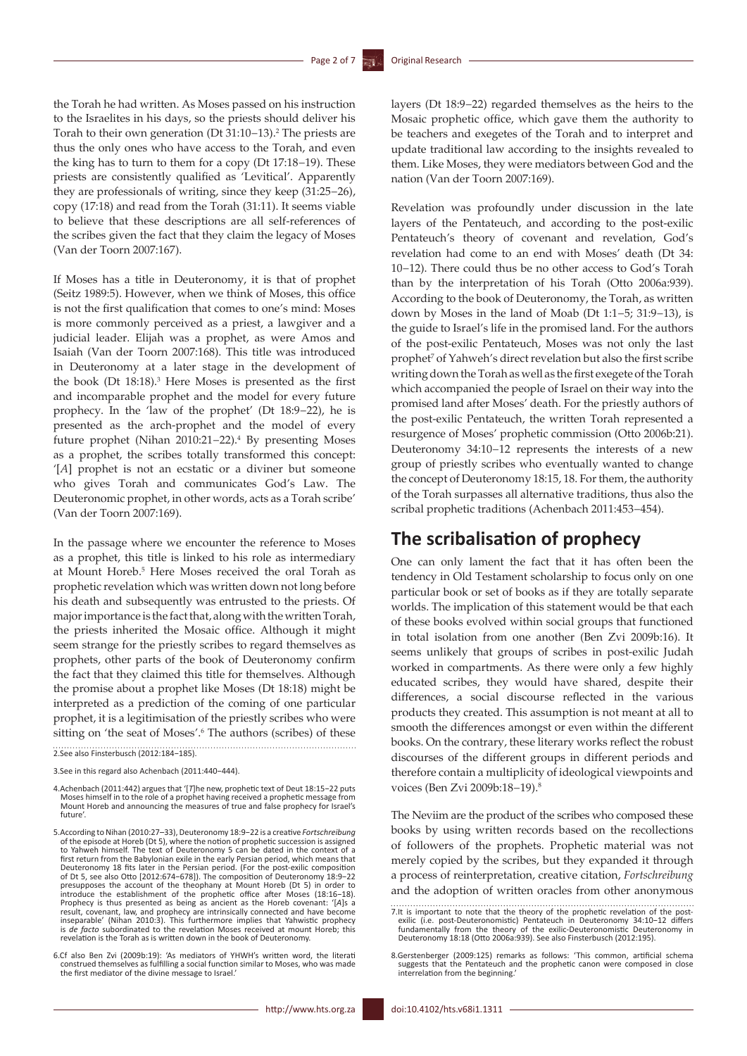the Torah he had written. As Moses passed on his instruction to the Israelites in his days, so the priests should deliver his Torah to their own generation (Dt 31:10–13).<sup>2</sup> The priests are thus the only ones who have access to the Torah, and even the king has to turn to them for a copy (Dt 17:18−19). These priests are consistently qualified as 'Levitical'. Apparently they are professionals of writing, since they keep (31:25−26), copy (17:18) and read from the Torah (31:11). It seems viable to believe that these descriptions are all self-references of the scribes given the fact that they claim the legacy of Moses (Van der Toorn 2007:167).

If Moses has a title in Deuteronomy, it is that of prophet (Seitz 1989:5). However, when we think of Moses, this office is not the first qualification that comes to one's mind: Moses is more commonly perceived as a priest, a lawgiver and a judicial leader. Elijah was a prophet, as were Amos and Isaiah (Van der Toorn 2007:168). This title was introduced in Deuteronomy at a later stage in the development of the book (Dt 18:18).3 Here Moses is presented as the first and incomparable prophet and the model for every future prophecy. In the 'law of the prophet' (Dt 18:9−22), he is presented as the arch-prophet and the model of every future prophet (Nihan 2010:21−22).4 By presenting Moses as a prophet, the scribes totally transformed this concept: '[*A*] prophet is not an ecstatic or a diviner but someone who gives Torah and communicates God's Law. The Deuteronomic prophet, in other words, acts as a Torah scribe' (Van der Toorn 2007:169).

In the passage where we encounter the reference to Moses as a prophet, this title is linked to his role as intermediary at Mount Horeb.5 Here Moses received the oral Torah as prophetic revelation which was written down not long before his death and subsequently was entrusted to the priests. Of major importance is the fact that, along with the written Torah, the priests inherited the Mosaic office. Although it might seem strange for the priestly scribes to regard themselves as prophets, other parts of the book of Deuteronomy confirm the fact that they claimed this title for themselves. Although the promise about a prophet like Moses (Dt 18:18) might be interpreted as a prediction of the coming of one particular prophet, it is a legitimisation of the priestly scribes who were sitting on 'the seat of Moses'.<sup>6</sup> The authors (scribes) of these 2.See also Finsterbusch (2012:184−185).

3.See in this regard also Achenbach (2011:440−444).

4.Achenbach (2011:442) argues that '[*T*]he new, prophetic text of Deut 18:15−22 puts Moses himself in to the role of a prophet having received a prophetic message from Mount Horeb and announcing the measures of true and false prophecy for Israel's future'.

- 5.According to Nihan (2010:27–33), Deuteronomy 18:9−22 is a creative *Fortschreibung* of the episode at Horeb (Dt 5), where the notion of prophetic succession is assigned to Yahweh himself. The text of Deuteronomy 5 can be dated in the context of a first return from the Babylonian exile in the early Persian period, which means that Deuteronomy 18 fits later in the Persian period. (For the post-exilic composition of Dt 5, see also Otto [2012:674−678]). The composition of Deuteronomy 18:9−22 presupposes the account of the theophany at Mount Horeb (Dt 5) in order to<br>introduce the establishment of the prophetic office after Moses (18:16-18).<br>Prophecy is thus presented as being as ancient as the Horeb covenant: ' revelation is the Torah as is written down in the book of Deuteronomy.
- 6.Cf also Ben Zvi (2009b:19): 'As mediators of YHWH's written word, the literati construed themselves as fulfilling a social function similar to Moses, who was made the first mediator of the divine message to Israel.'

layers (Dt 18:9−22) regarded themselves as the heirs to the Mosaic prophetic office, which gave them the authority to be teachers and exegetes of the Torah and to interpret and update traditional law according to the insights revealed to them. Like Moses, they were mediators between God and the nation (Van der Toorn 2007:169).

Revelation was profoundly under discussion in the late layers of the Pentateuch, and according to the post-exilic Pentateuch's theory of covenant and revelation, God's revelation had come to an end with Moses' death (Dt 34: 10−12). There could thus be no other access to God's Torah than by the interpretation of his Torah (Otto 2006a:939). According to the book of Deuteronomy, the Torah, as written down by Moses in the land of Moab (Dt 1:1−5; 31:9−13), is the guide to Israel's life in the promised land. For the authors of the post-exilic Pentateuch, Moses was not only the last prophet<sup>7</sup> of Yahweh's direct revelation but also the first scribe writing down the Torah as well as the first exegete of the Torah which accompanied the people of Israel on their way into the promised land after Moses' death. For the priestly authors of the post-exilic Pentateuch, the written Torah represented a resurgence of Moses' prophetic commission (Otto 2006b:21). Deuteronomy 34:10−12 represents the interests of a new group of priestly scribes who eventually wanted to change the concept of Deuteronomy 18:15, 18. For them, the authority of the Torah surpasses all alternative traditions, thus also the scribal prophetic traditions (Achenbach 2011:453−454).

### **The scribalisation of prophecy**

One can only lament the fact that it has often been the tendency in Old Testament scholarship to focus only on one particular book or set of books as if they are totally separate worlds. The implication of this statement would be that each of these books evolved within social groups that functioned in total isolation from one another (Ben Zvi 2009b:16). It seems unlikely that groups of scribes in post-exilic Judah worked in compartments. As there were only a few highly educated scribes, they would have shared, despite their differences, a social discourse reflected in the various products they created. This assumption is not meant at all to smooth the differences amongst or even within the different books. On the contrary, these literary works reflect the robust discourses of the different groups in different periods and therefore contain a multiplicity of ideological viewpoints and voices (Ben Zvi 2009b:18−19).8

The Neviim are the product of the scribes who composed these books by using written records based on the recollections of followers of the prophets. Prophetic material was not merely copied by the scribes, but they expanded it through a process of reinterpretation, creative citation, *Fortschreibung* and the adoption of written oracles from other anonymous

<sup>7.</sup> It is important to note that the theory of the prophetic revelation of the posterior (i.e. post-Deuteronomistic) Pentateuch in Deuteronomy 34:10-12 differs fundanentally from the theory of the exilic-Deuteronomistic Deu Deuteronomy 18:18 (Otto 2006a:939). See also Finsterbusch (2012:195).

<sup>8.</sup>Gerstenberger (2009:125) remarks as follows: 'This common, artificial schema suggests that the Pentateuch and the prophetic canon were composed in close interrelation from the beginning.'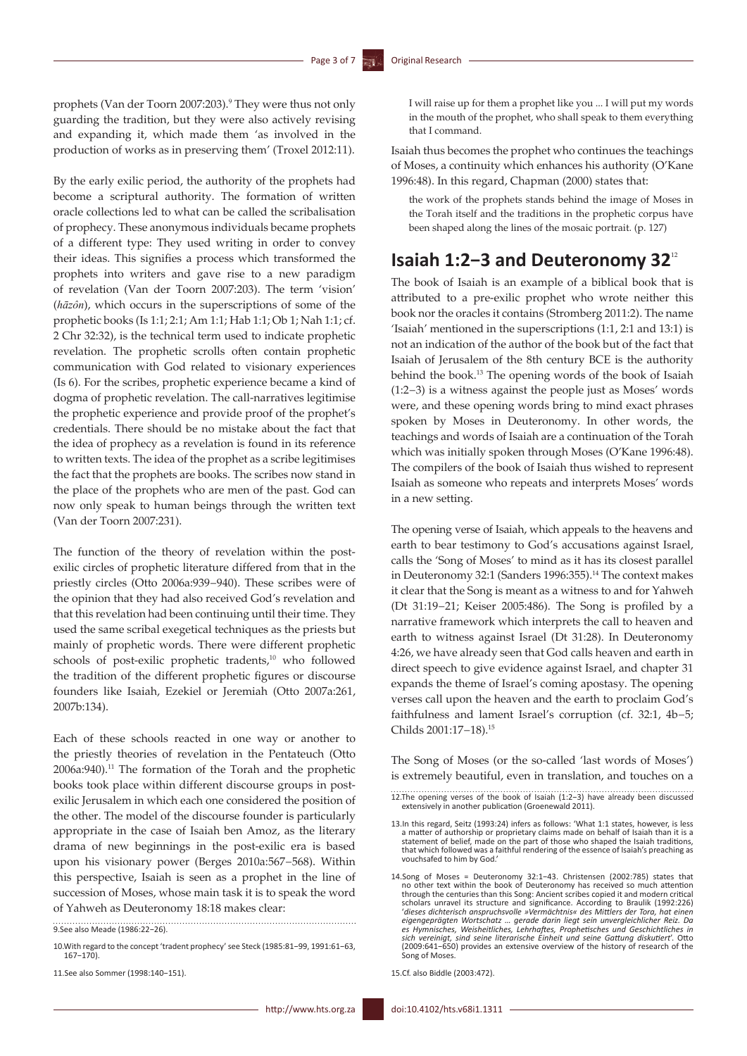prophets (Van der Toorn 2007:203).<sup>9</sup> They were thus not only guarding the tradition, but they were also actively revising and expanding it, which made them 'as involved in the production of works as in preserving them' (Troxel 2012:11).

By the early exilic period, the authority of the prophets had become a scriptural authority. The formation of written oracle collections led to what can be called the scribalisation of prophecy. These anonymous individuals became prophets of a different type: They used writing in order to convey their ideas. This signifies a process which transformed the prophets into writers and gave rise to a new paradigm of revelation (Van der Toorn 2007:203). The term 'vision' (*hāzôn*), which occurs in the superscriptions of some of the prophetic books (Is 1:1; 2:1; Am 1:1; Hab 1:1; Ob 1; Nah 1:1; cf. 2 Chr 32:32), is the technical term used to indicate prophetic revelation. The prophetic scrolls often contain prophetic communication with God related to visionary experiences (Is 6). For the scribes, prophetic experience became a kind of dogma of prophetic revelation. The call-narratives legitimise the prophetic experience and provide proof of the prophet's credentials. There should be no mistake about the fact that the idea of prophecy as a revelation is found in its reference to written texts. The idea of the prophet as a scribe legitimises the fact that the prophets are books. The scribes now stand in the place of the prophets who are men of the past. God can now only speak to human beings through the written text (Van der Toorn 2007:231).

The function of the theory of revelation within the postexilic circles of prophetic literature differed from that in the priestly circles (Otto 2006a:939−940). These scribes were of the opinion that they had also received God's revelation and that this revelation had been continuing until their time. They used the same scribal exegetical techniques as the priests but mainly of prophetic words. There were different prophetic schools of post-exilic prophetic tradents,<sup>10</sup> who followed the tradition of the different prophetic figures or discourse founders like Isaiah, Ezekiel or Jeremiah (Otto 2007a:261, 2007b:134).

Each of these schools reacted in one way or another to the priestly theories of revelation in the Pentateuch (Otto 2006a:940).11 The formation of the Torah and the prophetic books took place within different discourse groups in postexilic Jerusalem in which each one considered the position of the other. The model of the discourse founder is particularly appropriate in the case of Isaiah ben Amoz, as the literary drama of new beginnings in the post-exilic era is based upon his visionary power (Berges 2010a:567−568). Within this perspective, Isaiah is seen as a prophet in the line of succession of Moses, whose main task it is to speak the word of Yahweh as Deuteronomy 18:18 makes clear: 9.See also Meade (1986:22−26).

10.With regard to the concept 'tradent prophecy' see Steck (1985:81−99, 1991:61−63, 167−170).

11.See also Sommer (1998:140−151).

I will raise up for them a prophet like you ... I will put my words in the mouth of the prophet, who shall speak to them everything that I command.

Isaiah thus becomes the prophet who continues the teachings of Moses, a continuity which enhances his authority (O'Kane 1996:48). In this regard, Chapman (2000) states that:

the work of the prophets stands behind the image of Moses in the Torah itself and the traditions in the prophetic corpus have been shaped along the lines of the mosaic portrait. (p. 127)

### **Isaiah 1:2−3 and Deuteronomy 32**<sup>12</sup>

The book of Isaiah is an example of a biblical book that is attributed to a pre-exilic prophet who wrote neither this book nor the oracles it contains (Stromberg 2011:2). The name 'Isaiah' mentioned in the superscriptions (1:1, 2:1 and 13:1) is not an indication of the author of the book but of the fact that Isaiah of Jerusalem of the 8th century BCE is the authority behind the book.13 The opening words of the book of Isaiah (1:2−3) is a witness against the people just as Moses' words were, and these opening words bring to mind exact phrases spoken by Moses in Deuteronomy. In other words, the teachings and words of Isaiah are a continuation of the Torah which was initially spoken through Moses (O'Kane 1996:48). The compilers of the book of Isaiah thus wished to represent Isaiah as someone who repeats and interprets Moses' words in a new setting.

The opening verse of Isaiah, which appeals to the heavens and earth to bear testimony to God's accusations against Israel, calls the 'Song of Moses' to mind as it has its closest parallel in Deuteronomy 32:1 (Sanders 1996:355).<sup>14</sup> The context makes it clear that the Song is meant as a witness to and for Yahweh (Dt 31:19−21; Keiser 2005:486). The Song is profiled by a narrative framework which interprets the call to heaven and earth to witness against Israel (Dt 31:28). In Deuteronomy 4:26, we have already seen that God calls heaven and earth in direct speech to give evidence against Israel, and chapter 31 expands the theme of Israel's coming apostasy. The opening verses call upon the heaven and the earth to proclaim God's faithfulness and lament Israel's corruption (cf. 32:1, 4b−5; Childs 2001:17−18).15

The Song of Moses (or the so-called 'last words of Moses') is extremely beautiful, even in translation, and touches on a

12.The opening verses of the book of Isaiah (1:2−3) have already been discussed extensively in another publication (Groenewald 2011).

13.In this regard, Seitz (1993:24) infers as follows: 'What 1:1 states, however, is less a matter of authorship or proprietary claims made on behalf of Isaiah than it is a statement of belief, made on the part of those who shaped the Isaiah traditions, that which followed was a faithful rendering of the essence of Isaiah's preaching as vouchsafed to him by God.'

14.Song of Moses = Deuteronomy 32:1−43. Christensen (2002:785) states that no other text within the book of Deuteronomy has received so much attention through the centuries than this Song: Ancient scribes copied it and modern critical scholars unravel its structure and significance. According to Braulik (1992:226) '*dieses dichterisch anspruchsvolle »Vermächtnis« des Mittlers der Tora, hat einen eigengeprägten Wortschatz … gerade darin liegt sein unvergleichlicher Reiz. Da es Hymnisches, Weisheitliches, Lehrhaftes, Prophetisches und Geschichtliches in sich vereinigt, sind seine literarische Einheit und seine Gattung diskutiert*'. Otto (2009:641−650) provides an extensive overview of the history of research of the Song of Moses.

15.Cf. also Biddle (2003:472).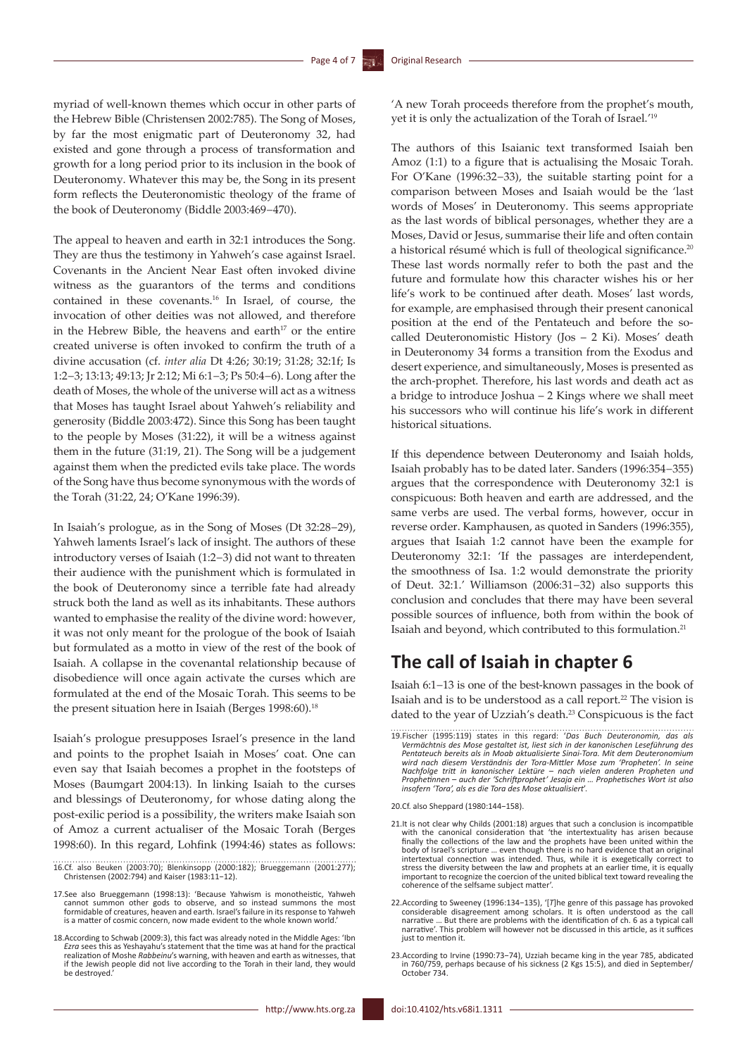myriad of well-known themes which occur in other parts of the Hebrew Bible (Christensen 2002:785). The Song of Moses, by far the most enigmatic part of Deuteronomy 32, had existed and gone through a process of transformation and growth for a long period prior to its inclusion in the book of Deuteronomy. Whatever this may be, the Song in its present form reflects the Deuteronomistic theology of the frame of the book of Deuteronomy (Biddle 2003:469−470).

The appeal to heaven and earth in 32:1 introduces the Song. They are thus the testimony in Yahweh's case against Israel. Covenants in the Ancient Near East often invoked divine witness as the guarantors of the terms and conditions contained in these covenants.16 In Israel, of course, the invocation of other deities was not allowed, and therefore in the Hebrew Bible, the heavens and earth<sup>17</sup> or the entire created universe is often invoked to confirm the truth of a divine accusation (cf. *inter alia* Dt 4:26; 30:19; 31:28; 32:1f; Is 1:2−3; 13:13; 49:13; Jr 2:12; Mi 6:1−3; Ps 50:4−6). Long after the death of Moses, the whole of the universe will act as a witness that Moses has taught Israel about Yahweh's reliability and generosity (Biddle 2003:472). Since this Song has been taught to the people by Moses (31:22), it will be a witness against them in the future (31:19, 21). The Song will be a judgement against them when the predicted evils take place. The words of the Song have thus become synonymous with the words of the Torah (31:22, 24; O'Kane 1996:39).

In Isaiah's prologue, as in the Song of Moses (Dt 32:28−29), Yahweh laments Israel's lack of insight. The authors of these introductory verses of Isaiah (1:2−3) did not want to threaten their audience with the punishment which is formulated in the book of Deuteronomy since a terrible fate had already struck both the land as well as its inhabitants. These authors wanted to emphasise the reality of the divine word: however, it was not only meant for the prologue of the book of Isaiah but formulated as a motto in view of the rest of the book of Isaiah. A collapse in the covenantal relationship because of disobedience will once again activate the curses which are formulated at the end of the Mosaic Torah. This seems to be the present situation here in Isaiah (Berges 1998:60).<sup>18</sup>

Isaiah's prologue presupposes Israel's presence in the land and points to the prophet Isaiah in Moses' coat. One can even say that Isaiah becomes a prophet in the footsteps of Moses (Baumgart 2004:13). In linking Isaiah to the curses and blessings of Deuteronomy, for whose dating along the post-exilic period is a possibility, the writers make Isaiah son of Amoz a current actualiser of the Mosaic Torah (Berges 1998:60). In this regard, Lohfink (1994:46) states as follows:

'A new Torah proceeds therefore from the prophet's mouth, yet it is only the actualization of the Torah of Israel.'19

The authors of this Isaianic text transformed Isaiah ben Amoz (1:1) to a figure that is actualising the Mosaic Torah. For O'Kane (1996:32−33), the suitable starting point for a comparison between Moses and Isaiah would be the 'last words of Moses' in Deuteronomy. This seems appropriate as the last words of biblical personages, whether they are a Moses, David or Jesus, summarise their life and often contain a historical résumé which is full of theological significance.20 These last words normally refer to both the past and the future and formulate how this character wishes his or her life's work to be continued after death. Moses' last words, for example, are emphasised through their present canonical position at the end of the Pentateuch and before the socalled Deuteronomistic History (Jos – 2 Ki). Moses' death in Deuteronomy 34 forms a transition from the Exodus and desert experience, and simultaneously, Moses is presented as the arch-prophet. Therefore, his last words and death act as a bridge to introduce Joshua – 2 Kings where we shall meet his successors who will continue his life's work in different historical situations.

If this dependence between Deuteronomy and Isaiah holds, Isaiah probably has to be dated later. Sanders (1996:354−355) argues that the correspondence with Deuteronomy 32:1 is conspicuous: Both heaven and earth are addressed, and the same verbs are used. The verbal forms, however, occur in reverse order. Kamphausen, as quoted in Sanders (1996:355), argues that Isaiah 1:2 cannot have been the example for Deuteronomy 32:1: 'If the passages are interdependent, the smoothness of Isa. 1:2 would demonstrate the priority of Deut. 32:1.' Williamson (2006:31−32) also supports this conclusion and concludes that there may have been several possible sources of influence, both from within the book of Isaiah and beyond, which contributed to this formulation.21

#### **The call of Isaiah in chapter 6**

Isaiah 6:1−13 is one of the best-known passages in the book of Isaiah and is to be understood as a call report.<sup>22</sup> The vision is dated to the year of Uzziah's death.<sup>23</sup> Conspicuous is the fact

19.Fischer (1995:119) states in this regard: '*Das Buch Deuteronomin, das als Vermächtnis des Mose gestaltet ist, liest sich in der kanonischen Leseführung des Pentateuch bereits als in Moab aktualisierte Sinai-Tora. Mit dem Deuteronomium*  wird nach diesem Verständnis der Tora-Mittler Mose zum 'Propheten'. In seine<br>Nachfolge tritt in kanonischer Lektüre – nach vielen anderen Propheten und<br>Prophetinnen – auch der 'Schriftprophet' Jesaja ein ... Prophetisches

20.Cf. also Sheppard (1980:144−158).

- 21.It is not clear why Childs (2001:18) argues that such a conclusion is incompatible with the canonical consideration that 'the intertextuality has arisen because finally the collections of the law and the prophets have been united within the body of Israel's scripture … even though there is no hard evidence that an original intertextual connection was intended. Thus, while it is exegetically correct to stress the diversity between the law and prophets at an earlier time, it is equally important to recognize the coercion of the united biblical text toward revealing the coherence of the selfsame subject matter'.
- 22. According to Sweeney (1996:134-135), '[7]he genre of this passage has provoked considerable disagreement among scholars. It is often understood as the call narrative... But there are problems with the identification of just to mention it.
- 23.According to Irvine (1990:73−74), Uzziah became king in the year 785, abdicated in 760/759, perhaps because of his sickness (2 Kgs 15:5), and died in September/ October 734.

<sup>16.</sup>Cf. also Beuken (2003:70); Blenkinsopp (2000:182); Brueggemann (2001:277); Christensen (2002:794) and Kaiser (1983:11−12).

<sup>17.</sup>See also Brueggemann (1998:13): 'Because Yahwism is monotheistic, Yahweh cannot summon other gods to observe, and so instead summons the most formidable of creatures, heaven and earth. Israel's failure in its response to Yahweh is a matter of cosmic concern, now made evident to the whole known world.'

<sup>18.</sup>According to Schwab (2009:3), this fact was already noted in the Middle Ages: 'Ibn *Ezra* sees this as Yeshayahu's statement that the time was at hand for the practical realization of Moshe *Rabbeinu*'s warning, with heaven and earth as witnesses, that if the Jewish people did not live according to the Torah in their land, they would be destroyed.'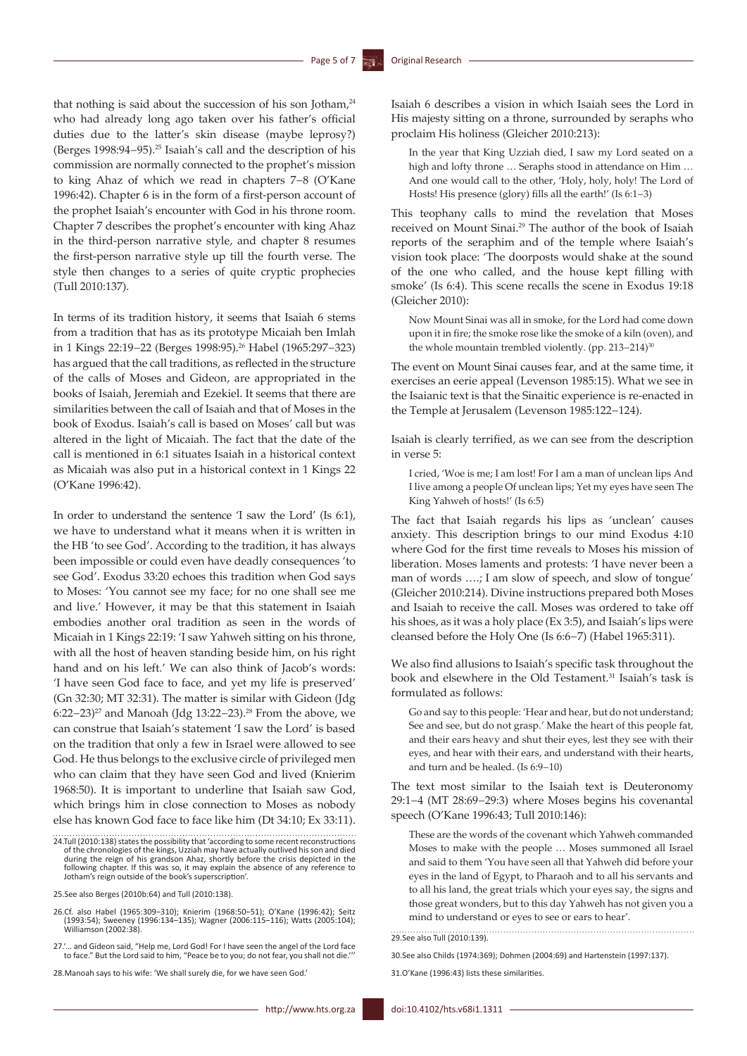that nothing is said about the succession of his son Jotham, $24$ who had already long ago taken over his father's official duties due to the latter's skin disease (maybe leprosy?) (Berges 1998:94−95).25 Isaiah's call and the description of his commission are normally connected to the prophet's mission to king Ahaz of which we read in chapters 7−8 (O'Kane 1996:42). Chapter 6 is in the form of a first-person account of the prophet Isaiah's encounter with God in his throne room. Chapter 7 describes the prophet's encounter with king Ahaz in the third-person narrative style, and chapter 8 resumes the first-person narrative style up till the fourth verse. The style then changes to a series of quite cryptic prophecies (Tull 2010:137).

In terms of its tradition history, it seems that Isaiah 6 stems from a tradition that has as its prototype Micaiah ben Imlah in 1 Kings 22:19−22 (Berges 1998:95).26 Habel (1965:297−323) has argued that the call traditions, as reflected in the structure of the calls of Moses and Gideon, are appropriated in the books of Isaiah, Jeremiah and Ezekiel. It seems that there are similarities between the call of Isaiah and that of Moses in the book of Exodus. Isaiah's call is based on Moses' call but was altered in the light of Micaiah. The fact that the date of the call is mentioned in 6:1 situates Isaiah in a historical context as Micaiah was also put in a historical context in 1 Kings 22 (O'Kane 1996:42).

In order to understand the sentence 'I saw the Lord' (Is 6:1), we have to understand what it means when it is written in the HB 'to see God'. According to the tradition, it has always been impossible or could even have deadly consequences 'to see God'. Exodus 33:20 echoes this tradition when God says to Moses: 'You cannot see my face; for no one shall see me and live.' However, it may be that this statement in Isaiah embodies another oral tradition as seen in the words of Micaiah in 1 Kings 22:19: 'I saw Yahweh sitting on his throne, with all the host of heaven standing beside him, on his right hand and on his left.' We can also think of Jacob's words: 'I have seen God face to face, and yet my life is preserved' (Gn 32:30; MT 32:31). The matter is similar with Gideon (Jdg 6:22−23)27 and Manoah (Jdg 13:22−23).28 From the above, we can construe that Isaiah's statement 'I saw the Lord' is based on the tradition that only a few in Israel were allowed to see God. He thus belongs to the exclusive circle of privileged men who can claim that they have seen God and lived (Knierim 1968:50). It is important to underline that Isaiah saw God, which brings him in close connection to Moses as nobody else has known God face to face like him (Dt 34:10; Ex 33:11).

25.See also Berges (2010b:64) and Tull (2010:138).

26.Cf. also Habel (1965:309−310); Knierim (1968:50−51); O'Kane (1996:42); Seitz (1993:54); Sweeney (1996:134−135); Wagner (2006:115−116); Watts (2005:104); Williamson (2002:38).

27.'… and Gideon said, "Help me, Lord God! For I have seen the angel of the Lord face to face." But the Lord said to him, "Peace be to you; do not fear, you shall not die.

28.Manoah says to his wife: 'We shall surely die, for we have seen God.'

http://www.hts.org.za doi:10.4102/hts.v68i1.1311 -

Isaiah 6 describes a vision in which Isaiah sees the Lord in His majesty sitting on a throne, surrounded by seraphs who proclaim His holiness (Gleicher 2010:213):

In the year that King Uzziah died, I saw my Lord seated on a high and lofty throne … Seraphs stood in attendance on Him … And one would call to the other, 'Holy, holy, holy! The Lord of Hosts! His presence (glory) fills all the earth!' (Is 6:1−3)

This teophany calls to mind the revelation that Moses received on Mount Sinai.<sup>29</sup> The author of the book of Isaiah reports of the seraphim and of the temple where Isaiah's vision took place: 'The doorposts would shake at the sound of the one who called, and the house kept filling with smoke' (Is 6:4). This scene recalls the scene in Exodus 19:18 (Gleicher 2010):

Now Mount Sinai was all in smoke, for the Lord had come down upon it in fire; the smoke rose like the smoke of a kiln (oven), and the whole mountain trembled violently. (pp. 213−214)30

The event on Mount Sinai causes fear, and at the same time, it exercises an eerie appeal (Levenson 1985:15). What we see in the Isaianic text is that the Sinaitic experience is re-enacted in the Temple at Jerusalem (Levenson 1985:122−124).

Isaiah is clearly terrified, as we can see from the description in verse 5:

I cried, 'Woe is me; I am lost! For I am a man of unclean lips And I live among a people Of unclean lips; Yet my eyes have seen The King Yahweh of hosts!' (Is 6:5)

The fact that Isaiah regards his lips as 'unclean' causes anxiety. This description brings to our mind Exodus 4:10 where God for the first time reveals to Moses his mission of liberation. Moses laments and protests: 'I have never been a man of words ….; I am slow of speech, and slow of tongue' (Gleicher 2010:214). Divine instructions prepared both Moses and Isaiah to receive the call. Moses was ordered to take off his shoes, as it was a holy place (Ex 3:5), and Isaiah's lips were cleansed before the Holy One (Is 6:6−7) (Habel 1965:311).

We also find allusions to Isaiah's specific task throughout the book and elsewhere in the Old Testament.31 Isaiah's task is formulated as follows:

Go and say to this people: 'Hear and hear, but do not understand; See and see, but do not grasp.' Make the heart of this people fat, and their ears heavy and shut their eyes, lest they see with their eyes, and hear with their ears, and understand with their hearts, and turn and be healed. (Is 6:9−10)

The text most similar to the Isaiah text is Deuteronomy 29:1−4 (MT 28:69−29:3) where Moses begins his covenantal speech (O'Kane 1996:43; Tull 2010:146):

These are the words of the covenant which Yahweh commanded Moses to make with the people … Moses summoned all Israel and said to them 'You have seen all that Yahweh did before your eyes in the land of Egypt, to Pharaoh and to all his servants and to all his land, the great trials which your eyes say, the signs and those great wonders, but to this day Yahweh has not given you a mind to understand or eyes to see or ears to hear'.

#### 29.See also Tull (2010:139).

30.See also Childs (1974:369); Dohmen (2004:69) and Hartenstein (1997:137).

31.O'Kane (1996:43) lists these similarities.

<sup>24.</sup>Tull (2010:138) states the possibility that 'according to some recent reconstructions of the chronologies of the kings, Uzziah may have actually outlived his son and died during the reign of his grandson Ahaz, shortly before the crisis depicted in the following chapter. If this was so, it may explain the absence of any reference to Jotham's reign outside of the book's superscription'.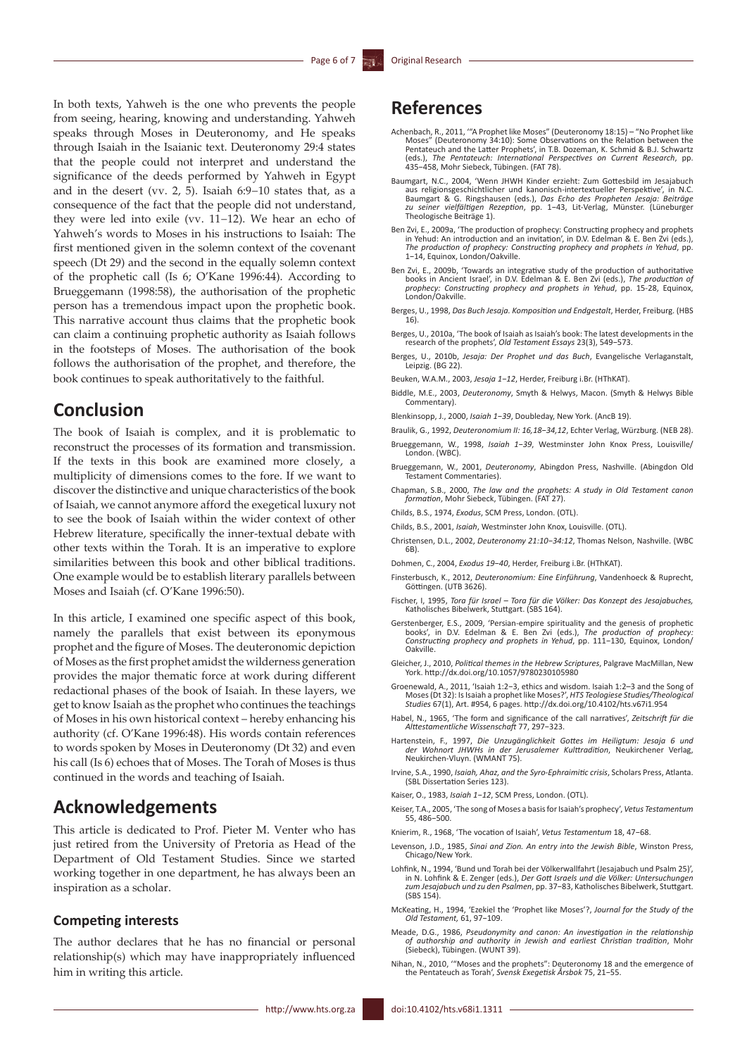In both texts, Yahweh is the one who prevents the people from seeing, hearing, knowing and understanding. Yahweh speaks through Moses in Deuteronomy, and He speaks through Isaiah in the Isaianic text. Deuteronomy 29:4 states that the people could not interpret and understand the significance of the deeds performed by Yahweh in Egypt and in the desert (vv. 2, 5). Isaiah 6:9−10 states that, as a consequence of the fact that the people did not understand, they were led into exile (vv. 11−12). We hear an echo of Yahweh's words to Moses in his instructions to Isaiah: The first mentioned given in the solemn context of the covenant speech (Dt 29) and the second in the equally solemn context of the prophetic call (Is 6; O'Kane 1996:44). According to Brueggemann (1998:58), the authorisation of the prophetic person has a tremendous impact upon the prophetic book. This narrative account thus claims that the prophetic book can claim a continuing prophetic authority as Isaiah follows in the footsteps of Moses. The authorisation of the book follows the authorisation of the prophet, and therefore, the book continues to speak authoritatively to the faithful.

### **Conclusion**

The book of Isaiah is complex, and it is problematic to reconstruct the processes of its formation and transmission. If the texts in this book are examined more closely, a multiplicity of dimensions comes to the fore. If we want to discover the distinctive and unique characteristics of the book of Isaiah, we cannot anymore afford the exegetical luxury not to see the book of Isaiah within the wider context of other Hebrew literature, specifically the inner-textual debate with other texts within the Torah. It is an imperative to explore similarities between this book and other biblical traditions. One example would be to establish literary parallels between Moses and Isaiah (cf. O'Kane 1996:50).

In this article, I examined one specific aspect of this book, namely the parallels that exist between its eponymous prophet and the figure of Moses. The deuteronomic depiction of Moses as the first prophet amidst the wilderness generation provides the major thematic force at work during different redactional phases of the book of Isaiah. In these layers, we get to know Isaiah as the prophet who continues the teachings of Moses in his own historical context – hereby enhancing his authority (cf. O'Kane 1996:48). His words contain references to words spoken by Moses in Deuteronomy (Dt 32) and even his call (Is 6) echoes that of Moses. The Torah of Moses is thus continued in the words and teaching of Isaiah.

### **Acknowledgements**

This article is dedicated to Prof. Pieter M. Venter who has just retired from the University of Pretoria as Head of the Department of Old Testament Studies. Since we started working together in one department, he has always been an inspiration as a scholar.

#### **Competing interests**

The author declares that he has no financial or personal relationship(s) which may have inappropriately influenced him in writing this article.

### **References**

- Achenbach, R., 2011, '"A Prophet like Moses" (Deuteronomy 18:15) "No Prophet like Moses" (Deuteronomy 34:10): Some Observations on the Relation between the Pentateuch and the Latter Prophets', in T.B. Dozeman, K. Schmid & B.J. Schwartz (eds.), *The Pentateuch: International Perspectives on Current Research*, pp. 435−458, Mohr Siebeck, Tübingen. (FAT 78).
- Baumgart, N.C., 2004, 'Wenn JHWH Kinder erzieht: Zum Gottesbild im Jesajabuch aus religionsgeschichtlicher und kanonisch-intertextueller Perspektive', in N.C. Baumgart & G. Ringshausen (eds.), *Das Echo des Propheten Jesaja: Beiträge*  zu seiner vielfältigen Rezeption, pp. 1-43, Lit-Verlag, Münster. (Lüneburger Theologische Beiträge 1).
- Ben Zvi, E., 2009a, 'The production of prophecy: Constructing prophecy and prophets<br>in Yehud: An introduction and an invitation', in D.V. Edelman & E. Ben Zvi (eds.),<br>The production of prophecy: Constructing prophecy and p 1−14, Equinox, London/Oakville.
- Ben Zvi, E., 2009b, 'Towards an integrative study of the production of authoritative books in Ancient Israel', in D.V. Edelman & E. Ben Zvi (eds.), *The production of prophecy: Constructing prophecy and prophets in Yehud*, pp. 15-28, Equinox, London/Oakville.
- Berges, U., 1998, *Das Buch Jesaja. Komposition und Endgestalt*, Herder, Freiburg. (HBS 16).
- Berges, U., 2010a, 'The book of Isaiah as Isaiah's book: The latest developments in the research of the prophets', *Old Testament Essays* 23(3), 549−573.
- Berges, U., 2010b, *Jesaja: Der Prophet und das Buch*, Evangelische Verlaganstalt, Leipzig. (BG 22).
- Beuken, W.A.M., 2003, *Jesaja 1−12*, Herder, Freiburg i.Br. (HThKAT).
- Biddle, M.E., 2003, *Deuteronomy*, Smyth & Helwys, Macon. (Smyth & Helwys Bible Commentary).
- Blenkinsopp, J., 2000, *Isaiah 1−39*, Doubleday, New York. (AncB 19).
- Braulik, G., 1992, *Deuteronomium II: 16,18−34,12*, Echter Verlag, Würzburg. (NEB 28). Brueggemann, W., 1998, *Isaiah 1−39*, Westminster John Knox Press, Louisville/ London. (WBC).
- Brueggemann, W., 2001, *Deuteronomy*, Abingdon Press, Nashville. (Abingdon Old Testament Commentaries).
- Chapman, S.B., 2000, *The law and the prophets: A study in Old Testament canon formation*, Mohr Siebeck, Tübingen. (FAT 27).
- Childs, B.S., 1974, *Exodus*, SCM Press, London. (OTL).
- Childs, B.S., 2001, *Isaiah*, Westminster John Knox, Louisville. (OTL).
- Christensen, D.L., 2002, *Deuteronomy 21:10−34:12*, Thomas Nelson, Nashville. (WBC 6B).
- Dohmen, C., 2004, *Exodus 19−40*, Herder, Freiburg i.Br. (HThKAT).
- Finsterbusch, K., 2012, *Deuteronomium: Eine Einführung*, Vandenhoeck & Ruprecht, Göttingen. (UTB 3626).
- Fischer, I, 1995, *Tora für Israel Tora für die Völker: Das Konzept des Jesajabuches,*  Katholisches Bibelwerk, Stuttgart. (SBS 164).
- Gerstenberger, E.S., 2009, 'Persian-empire spirituality and the genesis of prophetic books', in D.V. Edelman & E. Ben Zvi (eds.), *The production of prophecy: Constructing prophecy and prophets in Yehud*, pp. 111−130, Equinox, London/ Oakville.
- Gleicher, J., 2010, *Political themes in the Hebrew Scriptures*, Palgrave MacMillan, New York. <http://dx.doi.org/10.1057/9780230105980>
- Groenewald, A., 2011, 'Isaiah 1:2−3, ethics and wisdom. Isaiah 1:2–3 and the Song of Moses (Dt 32): Is Isaiah a prophet like Moses?', *HTS Teologiese Studies/Theological Studies* 67(1), Art. #954, 6 pages. <http://dx.doi.org/10.4102/hts.v67i1.954>
- Habel, N., 1965, 'The form and significance of the call narratives', *Zeitschrift für die Alttestamentliche Wissenschaft* 77, 297−323.
- Hartenstein, F., 1997, *Die Unzugänglichkeit Gottes im Heiligtum: Jesaja 6 und der Wohnort JHWHs in der Jerusalemer Kulttradition*, Neukirchener Verlag, Neukirchen-Vluyn. (WMANT 75).
- Irvine, S.A., 1990, *Isaiah, Ahaz, and the Syro-Ephraimitic crisis*, Scholars Press, Atlanta. (SBL Dissertation Series 123).
- Kaiser, O., 1983, *Isaiah 1−12*, SCM Press, London. (OTL).
- Keiser, T.A., 2005, 'The song of Moses a basis for Isaiah's prophecy', *Vetus Testamentum* 55, 486−500.
- Knierim, R., 1968, 'The vocation of Isaiah', *Vetus Testamentum* 18, 47−68.
- Levenson, J.D., 1985, *Sinai and Zion. An entry into the Jewish Bible*, Winston Press, Chicago/New York.
- Lohfink, N., 1994, 'Bund und Torah bei der Völkerwallfahrt (Jesajabuch und Psalm 25)', in N. Lohfink & E. Zenger (eds.), *Der Gott Israels und die Völker: Untersuchungen zum Jesajabuch und zu den Psalmen*, pp. 37−83, Katholisches Bibelwerk, Stuttgart. (SBS 154).
- McKeating, H., 1994, 'Ezekiel the 'Prophet like Moses'?, *Journal for the Study of the Old Testament,* 61, 97−109.
- Meade, D.G., 1986, *Pseudonymity and canon: An investigation in the relationship of authorship and authority in Jewish and earliest Christian tradition*, Mohr (Siebeck), Tübingen. (WUNT 39).
- Nihan, N., 2010, "Moses and the prophets": Deuteronomy 18 and the emergence of the Pentateuch as Torah', *Svensk Exegetisk Ǻrsbok* 75, 21−55.